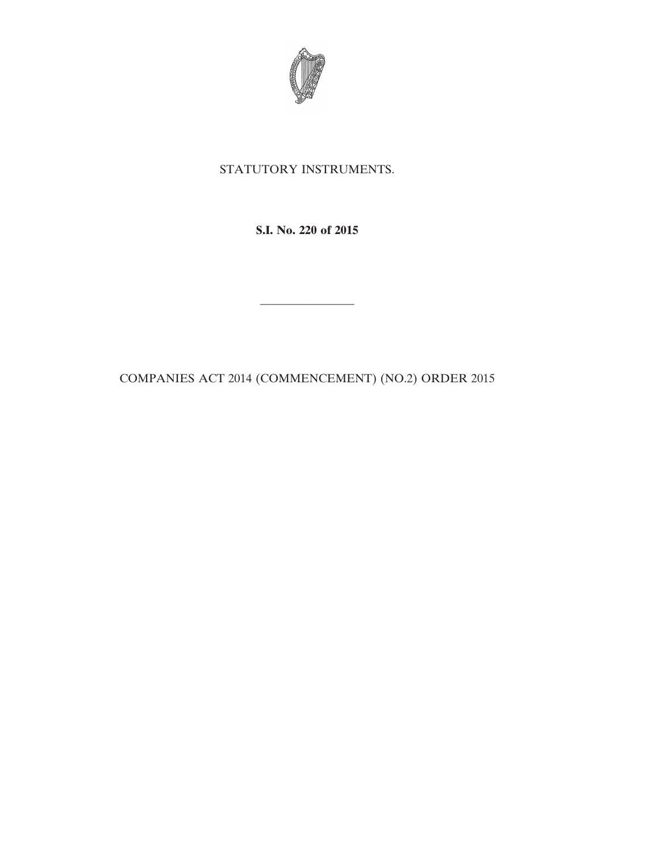

## STATUTORY INSTRUMENTS.

**S.I. No. 220 of 2015**

COMPANIES ACT 2014 (COMMENCEMENT) (NO.2) ORDER 2015

————————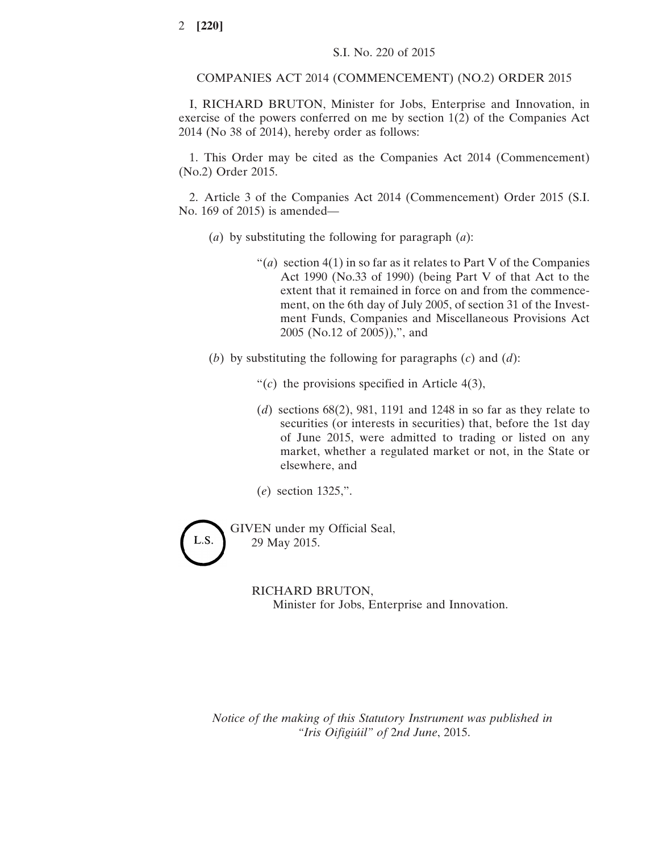COMPANIES ACT 2014 (COMMENCEMENT) (NO.2) ORDER 2015

I, RICHARD BRUTON, Minister for Jobs, Enterprise and Innovation, in exercise of the powers conferred on me by section 1(2) of the Companies Act 2014 (No 38 of 2014), hereby order as follows:

1. This Order may be cited as the Companies Act 2014 (Commencement) (No.2) Order 2015.

2. Article 3 of the Companies Act 2014 (Commencement) Order 2015 (S.I. No. 169 of 2015) is amended—

- (*a*) by substituting the following for paragraph (*a*):
	- " $(a)$  section 4(1) in so far as it relates to Part V of the Companies Act 1990 (No.33 of 1990) (being Part V of that Act to the extent that it remained in force on and from the commencement, on the 6th day of July 2005, of section 31 of the Investment Funds, Companies and Miscellaneous Provisions Act 2005 (No.12 of 2005)),", and
- (*b*) by substituting the following for paragraphs (*c*) and (*d*):
	- " $(c)$  the provisions specified in Article 4(3),
	- (*d*) sections 68(2), 981, 1191 and 1248 in so far as they relate to securities (or interests in securities) that, before the 1st day of June 2015, were admitted to trading or listed on any market, whether a regulated market or not, in the State or elsewhere, and
	- (*e*) section 1325,".

L.S.

GIVEN under my Official Seal, 29 May 2015.

> RICHARD BRUTON, Minister for Jobs, Enterprise and Innovation.

*Notice of the making of this Statutory Instrument was published in "Iris Oifigiúil" of* 2*nd June*, 2015.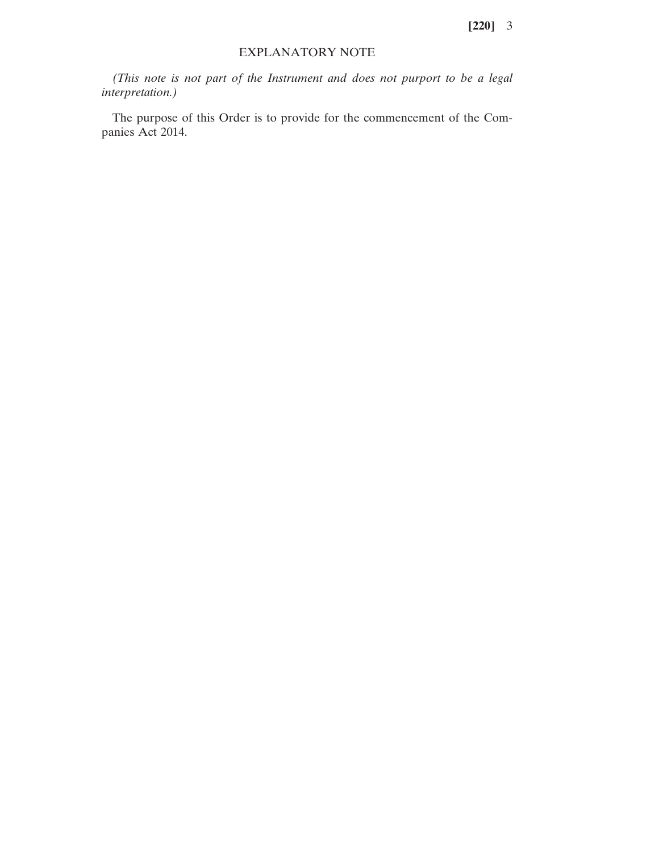**[220]** 3

## EXPLANATORY NOTE

*(This note is not part of the Instrument and does not purport to be a legal interpretation.)*

The purpose of this Order is to provide for the commencement of the Companies Act 2014.